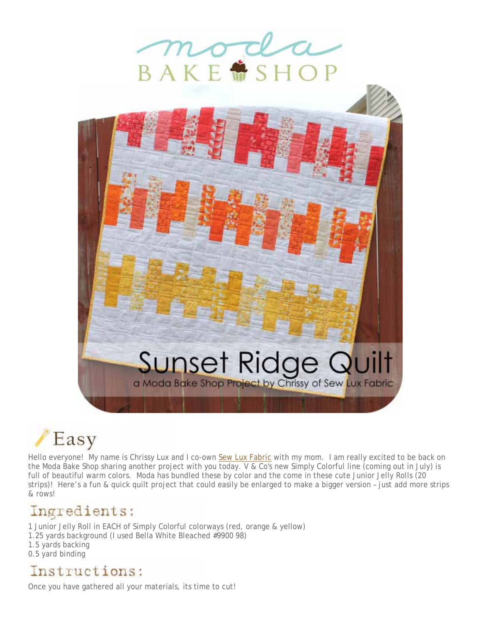





Hello everyone! My name is Chrissy Lux and I co-own Sew Lux Fabric with my mom. I am really excited to be back on the Moda Bake Shop sharing another project with you today. V & Co's new Simply Colorful line (coming out in July) is full of beautiful warm colors. Moda has bundled these by color and the come in these cute Junior Jelly Rolls (20 strips)! Here's a fun & quick quilt project that could easily be enlarged to make a bigger version – just add more strips & rows!

## Ingredients:

1 Junior Jelly Roll in EACH of Simply Colorful colorways (red, orange & yellow)

- 1.25 yards background (I used Bella White Bleached #9900 98)
- 1.5 yards backing
- 0.5 yard binding

## Instructions:

Once you have gathered all your materials, its time to cut!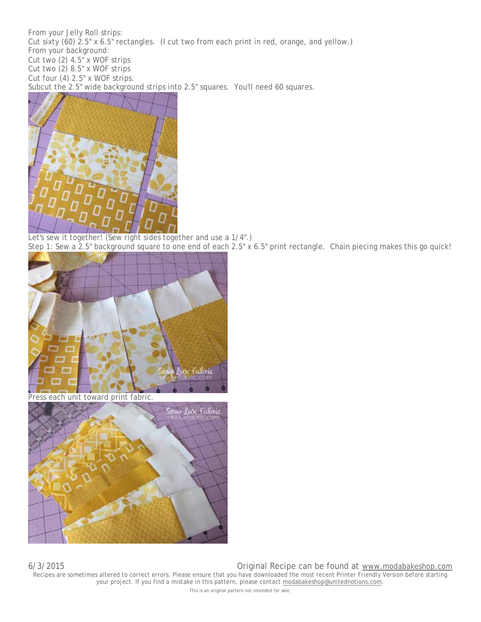From your Jelly Roll strips: Cut sixty (60) 2.5" x 6.5" rectangles. (I cut two from each print in red, orange, and yellow.) From your background: Cut two (2) 4.5" x WOF strips Cut two (2) 8.5" x WOF strips Cut four (4) 2.5" x WOF strips. Subcut the 2.5" wide background strips into 2.5" squares. You'll need 60 squares.



Let's sew it together! (Sew right sides together and use a 1/4".) Step 1: Sew a 2.5" background square to one end of each 2.5" x 6.5" print rectangle. Chain piecing makes this go quick!



Press each unit toward print fabric.



6/3/2015 Original Recipe can be found at www.modabakeshop.com Recipes are sometimes altered to correct errors. Please ensure that you have downloaded the most recent Printer Friendly Version before starting your project. If you find a mistake in this pattern, please contact modabakeshop@unitednotions.com. This is an original pattern not intended for sale.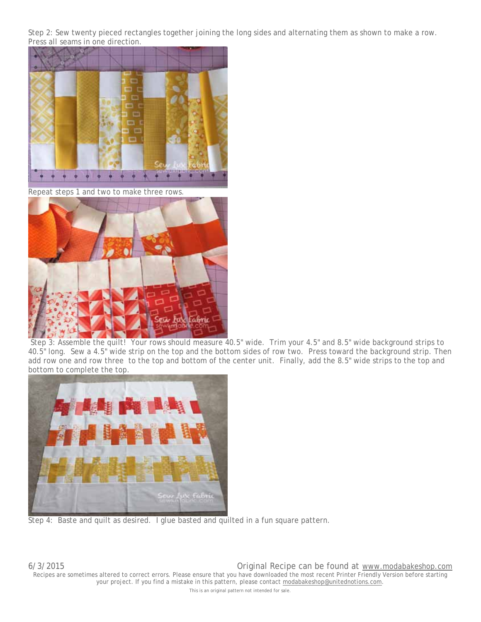Step 2: Sew twenty pieced rectangles together joining the long sides and alternating them as shown to make a row. Press all seams in one direction.



Repeat steps 1 and two to make three rows.



 Step 3: Assemble the quilt! Your rows should measure 40.5" wide. Trim your 4.5" and 8.5" wide background strips to 40.5" long. Sew a 4.5" wide strip on the top and the bottom sides of row two. Press toward the background strip. Then add row one and row three to the top and bottom of the center unit. Finally, add the 8.5" wide strips to the top and bottom to complete the top.



Step 4: Baste and quilt as desired. I glue basted and quilted in a fun square pattern.

6/3/2015 Original Recipe can be found at www.modabakeshop.com Recipes are sometimes altered to correct errors. Please ensure that you have downloaded the most recent Printer Friendly Version before starting your project. If you find a mistake in this pattern, please contact modabakeshop@unitednotions.com.